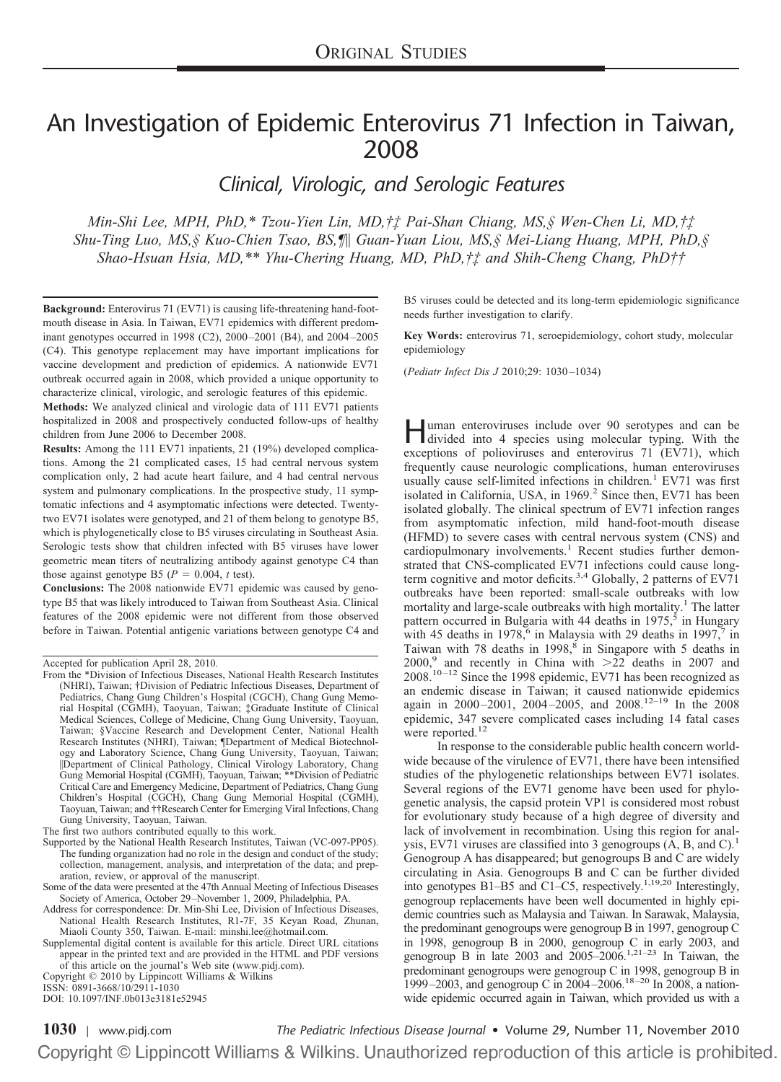# An Investigation of Epidemic Enterovirus 71 Infection in Taiwan, 2008

*Clinical, Virologic, and Serologic Features*

*Min-Shi Lee, MPH, PhD,\* Tzou-Yien Lin, MD,†‡ Pai-Shan Chiang, MS,§ Wen-Chen Li, MD,†‡ Shu-Ting Luo, MS,§ Kuo-Chien Tsao, BS,¶ Guan-Yuan Liou, MS,§ Mei-Liang Huang, MPH, PhD,§ Shao-Hsuan Hsia, MD,\*\* Yhu-Chering Huang, MD, PhD,†‡ and Shih-Cheng Chang, PhD††*

**Background:** Enterovirus 71 (EV71) is causing life-threatening hand-footmouth disease in Asia. In Taiwan, EV71 epidemics with different predominant genotypes occurred in 1998 (C2), 2000–2001 (B4), and 2004–2005 (C4). This genotype replacement may have important implications for vaccine development and prediction of epidemics. A nationwide EV71 outbreak occurred again in 2008, which provided a unique opportunity to characterize clinical, virologic, and serologic features of this epidemic.

**Methods:** We analyzed clinical and virologic data of 111 EV71 patients hospitalized in 2008 and prospectively conducted follow-ups of healthy children from June 2006 to December 2008.

**Results:** Among the 111 EV71 inpatients, 21 (19%) developed complications. Among the 21 complicated cases, 15 had central nervous system complication only, 2 had acute heart failure, and 4 had central nervous system and pulmonary complications. In the prospective study, 11 symptomatic infections and 4 asymptomatic infections were detected. Twentytwo EV71 isolates were genotyped, and 21 of them belong to genotype B5, which is phylogenetically close to B5 viruses circulating in Southeast Asia. Serologic tests show that children infected with B5 viruses have lower geometric mean titers of neutralizing antibody against genotype C4 than those against genotype B5 ( $P = 0.004$ , *t* test).

**Conclusions:** The 2008 nationwide EV71 epidemic was caused by genotype B5 that was likely introduced to Taiwan from Southeast Asia. Clinical features of the 2008 epidemic were not different from those observed before in Taiwan. Potential antigenic variations between genotype C4 and

DOI: 10.1097/INF.0b013e3181e52945

B5 viruses could be detected and its long-term epidemiologic significance needs further investigation to clarify.

**Key Words:** enterovirus 71, seroepidemiology, cohort study, molecular epidemiology

(*Pediatr Infect Dis J* 2010;29: 1030–1034)

Human enteroviruses include over 90 serotypes and can be divided into 4 species using molecular typing. With the exceptions of polioviruses and enterovirus 71 (EV71), which frequently cause neurologic complications, human enteroviruses usually cause self-limited infections in children.<sup>1</sup> EV71 was first isolated in California, USA, in 1969.<sup>2</sup> Since then, EV71 has been isolated globally. The clinical spectrum of EV71 infection ranges from asymptomatic infection, mild hand-foot-mouth disease (HFMD) to severe cases with central nervous system (CNS) and cardiopulmonary involvements.<sup>1</sup> Recent studies further demonstrated that CNS-complicated EV71 infections could cause longterm cognitive and motor deficits.<sup>3,4</sup> Globally, 2 patterns of EV71 outbreaks have been reported: small-scale outbreaks with low mortality and large-scale outbreaks with high mortality.<sup>1</sup> The latter pattern occurred in Bulgaria with 44 deaths in 1975,<sup>5</sup> in Hungary with 45 deaths in 1978,<sup>6</sup> in Malaysia with 29 deaths in 1997,<sup>7</sup> in Taiwan with 78 deaths in 1998,<sup>8</sup> in Singapore with 5 deaths in 2000,<sup>9</sup> and recently in China with  $\geq 22$  deaths in 2007 and 2008.10–12 Since the 1998 epidemic, EV71 has been recognized as an endemic disease in Taiwan; it caused nationwide epidemics again in 2000–2001, 2004–2005, and 2008.12–19 In the 2008 epidemic, 347 severe complicated cases including 14 fatal cases were reported.<sup>12</sup>

In response to the considerable public health concern worldwide because of the virulence of EV71, there have been intensified studies of the phylogenetic relationships between EV71 isolates. Several regions of the EV71 genome have been used for phylogenetic analysis, the capsid protein VP1 is considered most robust for evolutionary study because of a high degree of diversity and lack of involvement in recombination. Using this region for analysis, EV71 viruses are classified into 3 genogroups  $(A, B, and C)^{1}$ . Genogroup A has disappeared; but genogroups B and C are widely circulating in Asia. Genogroups B and C can be further divided into genotypes B1–B5 and C1–C5, respectively.<sup>1,19,20</sup> Interestingly, genogroup replacements have been well documented in highly epidemic countries such as Malaysia and Taiwan. In Sarawak, Malaysia, the predominant genogroups were genogroup B in 1997, genogroup C in 1998, genogroup B in 2000, genogroup C in early 2003, and genogroup B in late 2003 and 2005–2006.<sup>1,21–23</sup> In Taiwan, the predominant genogroups were genogroup C in 1998, genogroup B in 1999–2003, and genogroup C in 2004–2006.<sup>18–20</sup> In 2008, a nationwide epidemic occurred again in Taiwan, which provided us with a

**1030** | [www.pidj.com](http://www.pidj.com) *The Pediatric Infectious Disease Journal* • Volume 29, Number 11, November 2010Copyright © Lippincott Williams & Wilkins. Unauthorized reproduction of this article is prohibited.

Accepted for publication April 28, 2010.

From the \*Division of Infectious Diseases, National Health Research Institutes (NHRI), Taiwan; †Division of Pediatric Infectious Diseases, Department of Pediatrics, Chang Gung Children's Hospital (CGCH), Chang Gung Memorial Hospital (CGMH), Taoyuan, Taiwan; ‡Graduate Institute of Clinical Medical Sciences, College of Medicine, Chang Gung University, Taoyuan, Taiwan; §Vaccine Research and Development Center, National Health Research Institutes (NHRI), Taiwan; ¶Department of Medical Biotechnology and Laboratory Science, Chang Gung University, Taoyuan, Taiwan; Department of Clinical Pathology, Clinical Virology Laboratory, Chang Gung Memorial Hospital (CGMH), Taoyuan, Taiwan; \*\*Division of Pediatric Critical Care and Emergency Medicine, Department of Pediatrics, Chang Gung Children's Hospital (CGCH), Chang Gung Memorial Hospital (CGMH), Taoyuan, Taiwan; and ††Research Center for Emerging Viral Infections, Chang Gung University, Taoyuan, Taiwan.

The first two authors contributed equally to this work.

Supported by the National Health Research Institutes, Taiwan (VC-097-PP05). The funding organization had no role in the design and conduct of the study; collection, management, analysis, and interpretation of the data; and preparation, review, or approval of the manuscript.

Some of the data were presented at the 47th Annual Meeting of Infectious Diseases Society of America, October 29–November 1, 2009, Philadelphia, PA.

Address for correspondence: Dr. Min-Shi Lee, Division of Infectious Diseases, National Health Research Institutes, R1-7F, 35 Keyan Road, Zhunan, Miaoli County 350, Taiwan. E-mail: minshi.lee@hotmail.com.

Supplemental digital content is available for this article. Direct URL citations appear in the printed text and are provided in the HTML and PDF versions of this article on the journal's Web site (www.pidj.com).

Copyright © 2010 by Lippincott Williams & Wilkins

ISSN: 0891-3668/10/2911-1030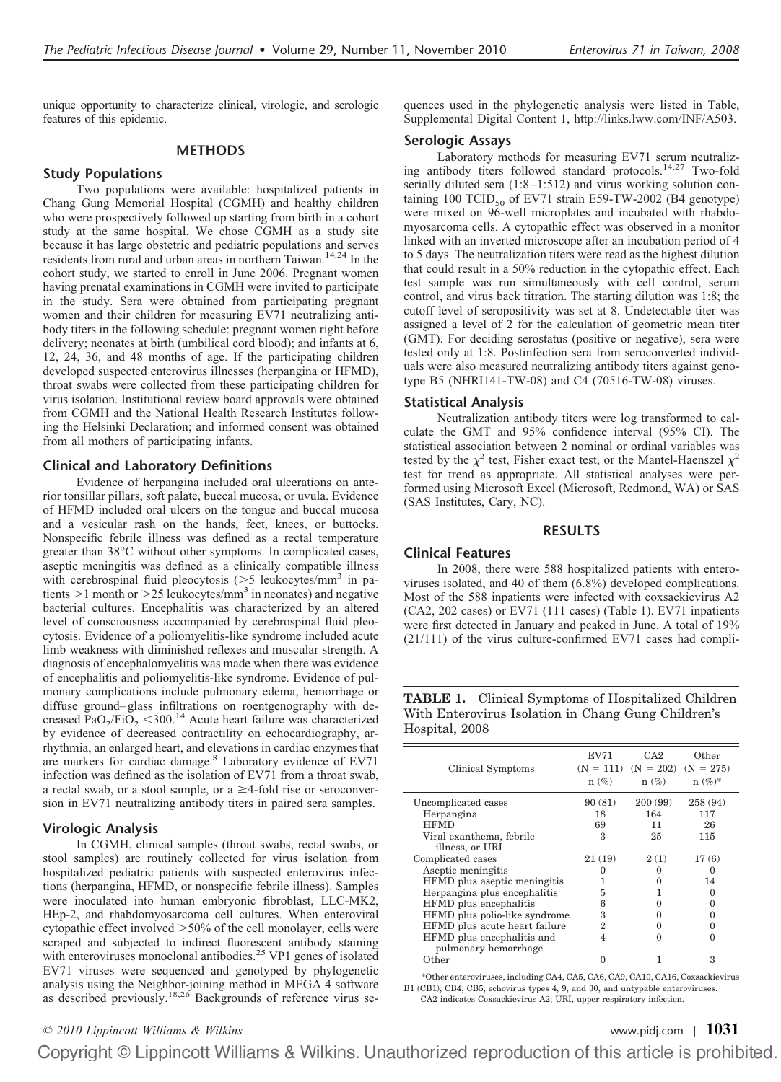unique opportunity to characterize clinical, virologic, and serologic features of this epidemic.

# **METHODS**

# **Study Populations**

Two populations were available: hospitalized patients in Chang Gung Memorial Hospital (CGMH) and healthy children who were prospectively followed up starting from birth in a cohort study at the same hospital. We chose CGMH as a study site because it has large obstetric and pediatric populations and serves residents from rural and urban areas in northern Taiwan.<sup>14,24</sup> In the cohort study, we started to enroll in June 2006. Pregnant women having prenatal examinations in CGMH were invited to participate in the study. Sera were obtained from participating pregnant women and their children for measuring EV71 neutralizing antibody titers in the following schedule: pregnant women right before delivery; neonates at birth (umbilical cord blood); and infants at 6, 12, 24, 36, and 48 months of age. If the participating children developed suspected enterovirus illnesses (herpangina or HFMD), throat swabs were collected from these participating children for virus isolation. Institutional review board approvals were obtained from CGMH and the National Health Research Institutes following the Helsinki Declaration; and informed consent was obtained from all mothers of participating infants.

# **Clinical and Laboratory Definitions**

Evidence of herpangina included oral ulcerations on anterior tonsillar pillars, soft palate, buccal mucosa, or uvula. Evidence of HFMD included oral ulcers on the tongue and buccal mucosa and a vesicular rash on the hands, feet, knees, or buttocks. Nonspecific febrile illness was defined as a rectal temperature greater than 38°C without other symptoms. In complicated cases, aseptic meningitis was defined as a clinically compatible illness with cerebrospinal fluid pleocytosis (>5 leukocytes/mm<sup>3</sup> in patients  $>$ 1 month or  $>$ 25 leukocytes/mm<sup>3</sup> in neonates) and negative bacterial cultures. Encephalitis was characterized by an altered level of consciousness accompanied by cerebrospinal fluid pleocytosis. Evidence of a poliomyelitis-like syndrome included acute limb weakness with diminished reflexes and muscular strength. A diagnosis of encephalomyelitis was made when there was evidence of encephalitis and poliomyelitis-like syndrome. Evidence of pulmonary complications include pulmonary edema, hemorrhage or diffuse ground–glass infiltrations on roentgenography with decreased PaO<sub>2</sub>/FiO<sub>2</sub> <300.<sup>14</sup> Acute heart failure was characterized by evidence of decreased contractility on echocardiography, arrhythmia, an enlarged heart, and elevations in cardiac enzymes that are markers for cardiac damage.<sup>8</sup> Laboratory evidence of EV71 infection was defined as the isolation of EV71 from a throat swab, a rectal swab, or a stool sample, or  $a \geq 4$ -fold rise or seroconversion in EV71 neutralizing antibody titers in paired sera samples.

## **Virologic Analysis**

In CGMH, clinical samples (throat swabs, rectal swabs, or stool samples) are routinely collected for virus isolation from hospitalized pediatric patients with suspected enterovirus infections (herpangina, HFMD, or nonspecific febrile illness). Samples were inoculated into human embryonic fibroblast, LLC-MK2, HEp-2, and rhabdomyosarcoma cell cultures. When enteroviral cytopathic effect involved  $>50\%$  of the cell monolayer, cells were scraped and subjected to indirect fluorescent antibody staining with enteroviruses monoclonal antibodies.<sup>25</sup> VP1 genes of isolated EV71 viruses were sequenced and genotyped by phylogenetic analysis using the Neighbor-joining method in MEGA 4 software as described previously.18,26 Backgrounds of reference virus sequences used in the phylogenetic analysis were listed in Table, Supplemental Digital Content 1, http://links.lww.com/INF/A503.

## **Serologic Assays**

Laboratory methods for measuring EV71 serum neutralizing antibody titers followed standard protocols.14,27 Two-fold serially diluted sera (1:8-1:512) and virus working solution containing 100 TCID<sub>50</sub> of EV71 strain E59-TW-2002 (B4 genotype) were mixed on 96-well microplates and incubated with rhabdomyosarcoma cells. A cytopathic effect was observed in a monitor linked with an inverted microscope after an incubation period of 4 to 5 days. The neutralization titers were read as the highest dilution that could result in a 50% reduction in the cytopathic effect. Each test sample was run simultaneously with cell control, serum control, and virus back titration. The starting dilution was 1:8; the cutoff level of seropositivity was set at 8. Undetectable titer was assigned a level of 2 for the calculation of geometric mean titer (GMT). For deciding serostatus (positive or negative), sera were tested only at 1:8. Postinfection sera from seroconverted individuals were also measured neutralizing antibody titers against genotype B5 (NHRI141-TW-08) and C4 (70516-TW-08) viruses.

#### **Statistical Analysis**

Neutralization antibody titers were log transformed to calculate the GMT and 95% confidence interval (95% CI). The statistical association between 2 nominal or ordinal variables was tested by the  $\chi^2$  test, Fisher exact test, or the Mantel-Haenszel  $\chi^2$ test for trend as appropriate. All statistical analyses were performed using Microsoft Excel (Microsoft, Redmond, WA) or SAS (SAS Institutes, Cary, NC).

# **RESULTS**

# **Clinical Features**

In 2008, there were 588 hospitalized patients with enteroviruses isolated, and 40 of them (6.8%) developed complications. Most of the 588 inpatients were infected with coxsackievirus A2 (CA2, 202 cases) or EV71 (111 cases) (Table 1). EV71 inpatients were first detected in January and peaked in June. A total of 19% (21/111) of the virus culture-confirmed EV71 cases had compli-

**TABLE 1.** Clinical Symptoms of Hospitalized Children With Enterovirus Isolation in Chang Gung Children's Hospital, 2008

| Clinical Symptoms             | EV71<br>$n(\%)$ | CA2<br>$(N = 111)$ $(N = 202)$ $(N = 275)$<br>$n(\%)$ | Other<br>$n(\%)^*$ |
|-------------------------------|-----------------|-------------------------------------------------------|--------------------|
|                               |                 |                                                       |                    |
| Uncomplicated cases           | 90 (81)         | 200(99)                                               | 258 (94)           |
| Herpangina                    | 18              | 164                                                   | 117                |
| <b>HFMD</b>                   | 69              | 11                                                    | 26                 |
| Viral exanthema, febrile      | 3               | 25                                                    | 115                |
| illness, or URI               |                 |                                                       |                    |
| Complicated cases             | 21 (19)         | 2(1)                                                  | 17(6)              |
| Aseptic meningitis            | $\Omega$        | $^{\circ}$                                            | $\theta$           |
| HFMD plus aseptic meningitis  | 1               | $^{\circ}$                                            | 14                 |
| Herpangina plus encephalitis  | 5               |                                                       | $\Omega$           |
| HFMD plus encephalitis        | 6               |                                                       | $\Omega$           |
| HFMD plus polio-like syndrome | 3               | 0                                                     | 0                  |
| HFMD plus acute heart failure | 2               |                                                       | 0                  |
| HFMD plus encephalitis and    | 4               | 0                                                     | 0                  |
| pulmonary hemorrhage          |                 |                                                       |                    |
| Other                         | 0               |                                                       | З                  |

\*Other enteroviruses, including CA4, CA5, CA6, CA9, CA10, CA16, Coxsackievirus B1 (CB1), CB4, CB5, echovirus types 4, 9, and 30, and untypable enteroviruses. CA2 indicates Coxsackievirus A2; URI, upper respiratory infection.

Copyright © Lippincott Williams & Wilkins. Unauthorized reproduction of this article is prohibited.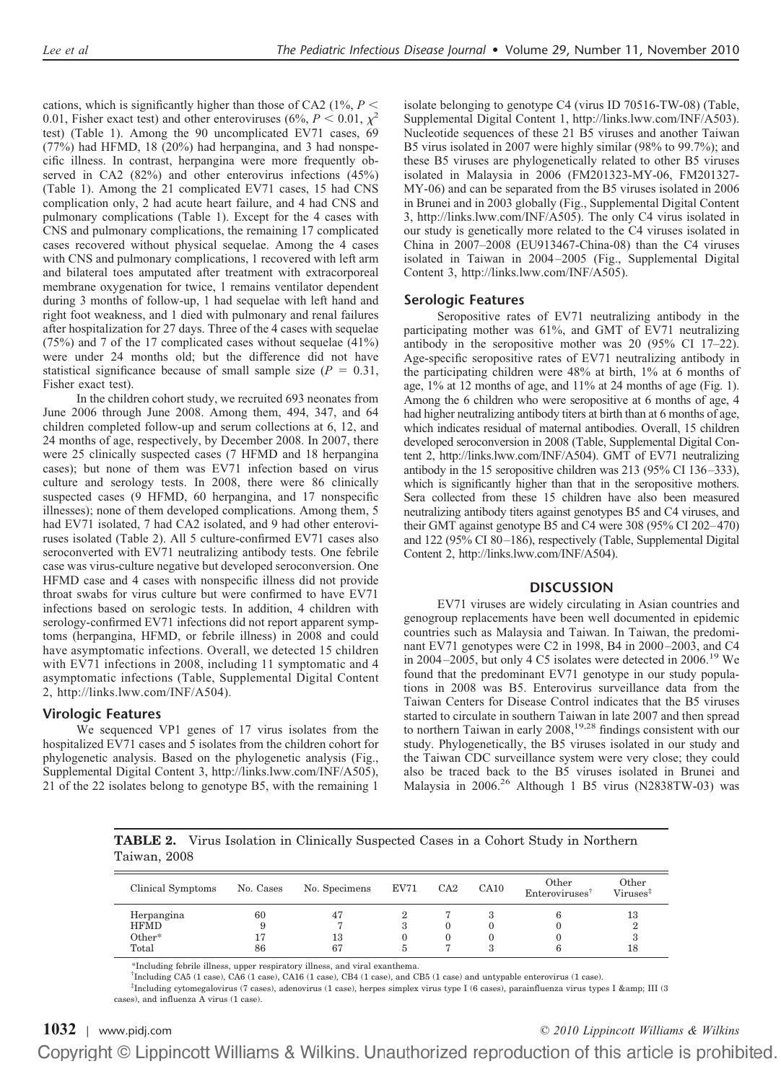cations, which is significantly higher than those of CA2 (1%,  $P \leq$ 0.01, Fisher exact test) and other enteroviruses (6%,  $P < 0.01$ ,  $\chi^2$ test) (Table 1). Among the 90 uncomplicated EV71 cases, 69 (77%) had HFMD, 18 (20%) had herpangina, and 3 had nonspecific illness. In contrast, herpangina were more frequently observed in CA2 (82%) and other enterovirus infections (45%) (Table 1). Among the 21 complicated EV71 cases, 15 had CNS complication only, 2 had acute heart failure, and 4 had CNS and pulmonary complications (Table 1). Except for the 4 cases with CNS and pulmonary complications, the remaining 17 complicated cases recovered without physical sequelae. Among the 4 cases with CNS and pulmonary complications, 1 recovered with left arm and bilateral toes amputated after treatment with extracorporeal membrane oxygenation for twice, 1 remains ventilator dependent during 3 months of follow-up, 1 had sequelae with left hand and right foot weakness, and 1 died with pulmonary and renal failures after hospitalization for 27 days. Three of the 4 cases with sequelae (75%) and 7 of the 17 complicated cases without sequelae (41%) were under 24 months old; but the difference did not have statistical significance because of small sample size  $(P = 0.31,$ Fisher exact test).

In the children cohort study, we recruited 693 neonates from June 2006 through June 2008. Among them, 494, 347, and 64 children completed follow-up and serum collections at 6, 12, and 24 months of age, respectively, by December 2008. In 2007, there were 25 clinically suspected cases (7 HFMD and 18 herpangina cases); but none of them was EV71 infection based on virus culture and serology tests. In 2008, there were 86 clinically suspected cases (9 HFMD, 60 herpangina, and 17 nonspecific illnesses); none of them developed complications. Among them, 5 had EV71 isolated, 7 had CA2 isolated, and 9 had other enteroviruses isolated (Table 2). All 5 culture-confirmed EV71 cases also seroconverted with EV71 neutralizing antibody tests. One febrile case was virus-culture negative but developed seroconversion. One HFMD case and 4 cases with nonspecific illness did not provide throat swabs for virus culture but were confirmed to have EV71 infections based on serologic tests. In addition, 4 children with serology-confirmed EV71 infections did not report apparent symptoms (herpangina, HFMD, or febrile illness) in 2008 and could have asymptomatic infections. Overall, we detected 15 children with EV71 infections in 2008, including 11 symptomatic and 4 asymptomatic infections (Table, Supplemental Digital Content 2, http://links.lww.com/INF/A504).

# **Virologic Features**

We sequenced VP1 genes of 17 virus isolates from the hospitalized EV71 cases and 5 isolates from the children cohort for phylogenetic analysis. Based on the phylogenetic analysis (Fig., Supplemental Digital Content 3, http://links.lww.com/INF/A505), 21 of the 22 isolates belong to genotype B5, with the remaining 1 isolate belonging to genotype C4 (virus ID 70516-TW-08) (Table, Supplemental Digital Content 1, http://links.lww.com/INF/A503). Nucleotide sequences of these 21 B5 viruses and another Taiwan B5 virus isolated in 2007 were highly similar (98% to 99.7%); and these B5 viruses are phylogenetically related to other B5 viruses isolated in Malaysia in 2006 (FM201323-MY-06, FM201327- MY-06) and can be separated from the B5 viruses isolated in 2006 in Brunei and in 2003 globally (Fig., Supplemental Digital Content 3, http://links.lww.com/INF/A505). The only C4 virus isolated in our study is genetically more related to the C4 viruses isolated in China in 2007–2008 (EU913467-China-08) than the C4 viruses isolated in Taiwan in 2004–2005 (Fig., Supplemental Digital Content 3, http://links.lww.com/INF/A505).

# **Serologic Features**

Seropositive rates of EV71 neutralizing antibody in the participating mother was 61%, and GMT of EV71 neutralizing antibody in the seropositive mother was 20 (95% CI 17–22). Age-specific seropositive rates of EV71 neutralizing antibody in the participating children were 48% at birth, 1% at 6 months of age, 1% at 12 months of age, and 11% at 24 months of age (Fig. 1). Among the 6 children who were seropositive at 6 months of age, 4 had higher neutralizing antibody titers at birth than at 6 months of age, which indicates residual of maternal antibodies. Overall, 15 children developed seroconversion in 2008 (Table, Supplemental Digital Content 2, http://links.lww.com/INF/A504). GMT of EV71 neutralizing antibody in the 15 seropositive children was 213 (95% CI 136–333), which is significantly higher than that in the seropositive mothers. Sera collected from these 15 children have also been measured neutralizing antibody titers against genotypes B5 and C4 viruses, and their GMT against genotype B5 and C4 were 308 (95% CI 202–470) and 122 (95% CI 80–186), respectively (Table, Supplemental Digital Content 2, http://links.lww.com/INF/A504).

# **DISCUSSION**

EV71 viruses are widely circulating in Asian countries and genogroup replacements have been well documented in epidemic countries such as Malaysia and Taiwan. In Taiwan, the predominant EV71 genotypes were C2 in 1998, B4 in 2000–2003, and C4 in 2004–2005, but only 4 C5 isolates were detected in 2006.<sup>19</sup> We found that the predominant EV71 genotype in our study populations in 2008 was B5. Enterovirus surveillance data from the Taiwan Centers for Disease Control indicates that the B5 viruses started to circulate in southern Taiwan in late 2007 and then spread to northern Taiwan in early 2008,<sup>19,28</sup> findings consistent with our study. Phylogenetically, the B5 viruses isolated in our study and the Taiwan CDC surveillance system were very close; they could also be traced back to the B5 viruses isolated in Brunei and Malaysia in 2006.26 Although 1 B5 virus (N2838TW-03) was

**TABLE 2.** Virus Isolation in Clinically Suspected Cases in a Cohort Study in Northern Taiwan, 2008

| Clinical Symptoms         | No. Cases | No. Specimens | $\rm EV71$ | CA2 | CA10 | Other<br>Enteroviruses | Other<br>$Viruses^{\ddagger}$ |
|---------------------------|-----------|---------------|------------|-----|------|------------------------|-------------------------------|
| Herpangina<br><b>HFMD</b> | 60        | 47            | ٠D         |     |      |                        | 13<br>2                       |
| $Other*$<br>Total         | 86        | 13<br>67      |            |     |      |                        | 18                            |

\*Including febrile illness, upper respiratory illness, and viral exanthema.

† Including CA5 (1 case), CA6 (1 case), CA16 (1 case), CB4 (1 case), and CB5 (1 case) and untypable enterovirus (1 case).

‡ Including cytomegalovirus (7 cases), adenovirus (1 case), herpes simplex virus type I (6 cases), parainfluenza virus types I & III (3 cases), and influenza A virus (1 case).

**1032** | [www.pidj.com](http://www.pidj.com) *© 2010 Lippincott Williams & Wilkins*Copyright © Lippincott Williams & Wilkins. Unauthorized reproduction of this article is prohibited.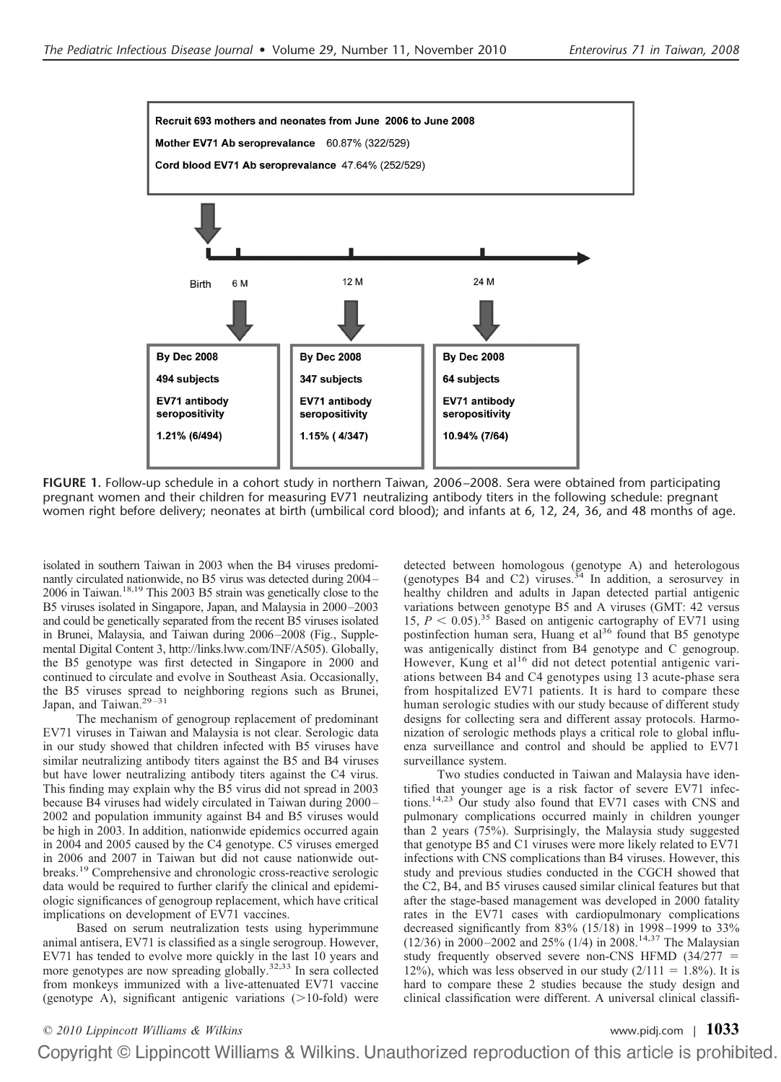

**FIGURE 1.** Follow-up schedule in a cohort study in northern Taiwan, 2006 –2008. Sera were obtained from participating pregnant women and their children for measuring EV71 neutralizing antibody titers in the following schedule: pregnant women right before delivery; neonates at birth (umbilical cord blood); and infants at 6, 12, 24, 36, and 48 months of age.

isolated in southern Taiwan in 2003 when the B4 viruses predominantly circulated nationwide, no B5 virus was detected during 2004– 2006 in Taiwan.18,19 This 2003 B5 strain was genetically close to the B5 viruses isolated in Singapore, Japan, and Malaysia in 2000–2003 and could be genetically separated from the recent B5 viruses isolated in Brunei, Malaysia, and Taiwan during 2006–2008 (Fig., Supplemental Digital Content 3, http://links.lww.com/INF/A505). Globally, the B5 genotype was first detected in Singapore in 2000 and continued to circulate and evolve in Southeast Asia. Occasionally, the B5 viruses spread to neighboring regions such as Brunei, Japan, and Taiwan.<sup>29-31</sup>

The mechanism of genogroup replacement of predominant EV71 viruses in Taiwan and Malaysia is not clear. Serologic data in our study showed that children infected with B5 viruses have similar neutralizing antibody titers against the B5 and B4 viruses but have lower neutralizing antibody titers against the C4 virus. This finding may explain why the B5 virus did not spread in 2003 because B4 viruses had widely circulated in Taiwan during 2000– 2002 and population immunity against B4 and B5 viruses would be high in 2003. In addition, nationwide epidemics occurred again in 2004 and 2005 caused by the C4 genotype. C5 viruses emerged in 2006 and 2007 in Taiwan but did not cause nationwide outbreaks.<sup>19</sup> Comprehensive and chronologic cross-reactive serologic data would be required to further clarify the clinical and epidemiologic significances of genogroup replacement, which have critical implications on development of EV71 vaccines.

Based on serum neutralization tests using hyperimmune animal antisera, EV71 is classified as a single serogroup. However, EV71 has tended to evolve more quickly in the last 10 years and more genotypes are now spreading globally.<sup>32,33</sup> In sera collected from monkeys immunized with a live-attenuated EV71 vaccine (genotype A), significant antigenic variations  $(>10$ -fold) were

detected between homologous (genotype A) and heterologous (genotypes B4 and C2) viruses.<sup>34</sup> In addition, a serosurvey in healthy children and adults in Japan detected partial antigenic variations between genotype B5 and A viruses (GMT: 42 versus 15,  $P < 0.05$ ).<sup>35</sup> Based on antigenic cartography of EV71 using postinfection human sera, Huang et al<sup>36</sup> found that B5 genotype was antigenically distinct from B4 genotype and C genogroup. However, Kung et al<sup>16</sup> did not detect potential antigenic variations between B4 and C4 genotypes using 13 acute-phase sera from hospitalized EV71 patients. It is hard to compare these human serologic studies with our study because of different study designs for collecting sera and different assay protocols. Harmonization of serologic methods plays a critical role to global influenza surveillance and control and should be applied to EV71 surveillance system.

Two studies conducted in Taiwan and Malaysia have identified that younger age is a risk factor of severe EV71 infections.14,23 Our study also found that EV71 cases with CNS and pulmonary complications occurred mainly in children younger than 2 years (75%). Surprisingly, the Malaysia study suggested that genotype B5 and C1 viruses were more likely related to EV71 infections with CNS complications than B4 viruses. However, this study and previous studies conducted in the CGCH showed that the C2, B4, and B5 viruses caused similar clinical features but that after the stage-based management was developed in 2000 fatality rates in the EV71 cases with cardiopulmonary complications decreased significantly from 83% (15/18) in 1998–1999 to 33% (12/36) in 2000–2002 and 25% (1/4) in 2008.<sup>14,37</sup> The Malaysian study frequently observed severe non-CNS HFMD (34/277 12%), which was less observed in our study  $(2/111 = 1.8\%)$ . It is hard to compare these 2 studies because the study design and clinical classification were different. A universal clinical classifi-

# *© 2010 Lippincott Williams & Wilkins* [www.pidj.com](http://www.pidj.com) <sup>|</sup> **1033**Copyright © Lippincott Williams & Wilkins. Unauthorized reproduction of this article is prohibited.